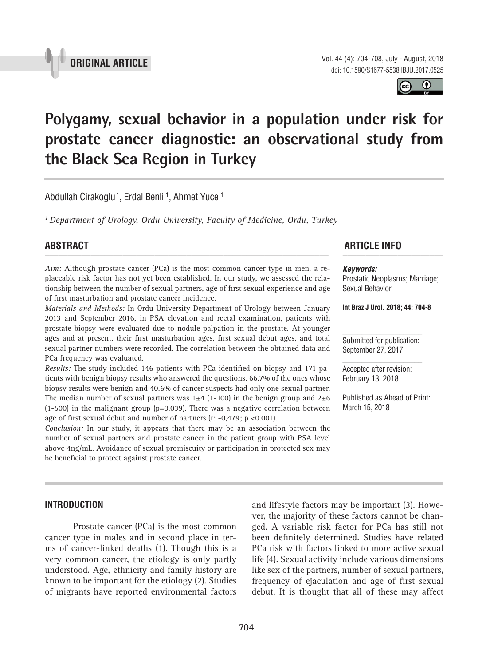



# **Polygamy, sexual behavior in a population under risk for prostate cancer diagnostic: an observational study from the Black Sea Region in Turkey \_\_\_\_\_\_\_\_\_\_\_\_\_\_\_\_\_\_\_\_\_\_\_\_\_\_\_\_\_\_\_\_\_\_\_\_\_\_\_\_\_\_\_\_\_\_\_**

Abdullah Cirakoglu <sup>1</sup>, Erdal Benli <sup>1</sup>, Ahmet Yuce <sup>1</sup>

*1 Department of Urology, Ordu University, Faculty of Medicine, Ordu, Turkey*

*Aim:* Although prostate cancer (PCa) is the most common cancer type in men, a replaceable risk factor has not yet been established. In our study, we assessed the relationship between the number of sexual partners, age of first sexual experience and age of first masturbation and prostate cancer incidence.

*Materials and Methods:* In Ordu University Department of Urology between January 2013 and September 2016, in PSA elevation and rectal examination, patients with prostate biopsy were evaluated due to nodule palpation in the prostate. At younger ages and at present, their first masturbation ages, first sexual debut ages, and total sexual partner numbers were recorded. The correlation between the obtained data and PCa frequency was evaluated.

*Results:* The study included 146 patients with PCa identified on biopsy and 171 patients with benign biopsy results who answered the questions. 66.7% of the ones whose biopsy results were benign and 40.6% of cancer suspects had only one sexual partner. The median number of sexual partners was  $1\pm 4$  (1-100) in the benign group and  $2\pm 6$ (1-500) in the malignant group (p=0.039). There was a negative correlation between age of first sexual debut and number of partners (r: -0,479; p <0.001).

*Conclusion:* In our study, it appears that there may be an association between the number of sexual partners and prostate cancer in the patient group with PSA level above 4ng/mL. Avoidance of sexual promiscuity or participation in protected sex may be beneficial to protect against prostate cancer.

## **ABSTRACT ARTICLE INFO** *\_\_\_\_\_\_\_\_\_\_\_\_\_\_\_\_\_\_\_\_\_\_\_\_\_\_\_\_\_\_\_\_\_\_\_\_\_\_\_\_\_\_\_\_\_\_\_\_\_\_\_\_\_\_\_\_\_\_\_\_\_\_ \_\_\_\_\_\_\_\_\_\_\_\_\_\_\_\_\_\_\_\_\_\_*

#### *Keywords:*

Prostatic Neoplasms; Marriage; Sexual Behavior

**Int Braz J Urol. 2018; 44: 704-8**

Submitted for publication: September 27, 2017

Accepted after revision: February 13, 2018

Published as Ahead of Print: March 15, 2018

### **INTRODUCTION**

Prostate cancer (PCa) is the most common cancer type in males and in second place in terms of cancer-linked deaths (1). Though this is a very common cancer, the etiology is only partly understood. Age, ethnicity and family history are known to be important for the etiology (2). Studies of migrants have reported environmental factors and lifestyle factors may be important (3). However, the majority of these factors cannot be changed. A variable risk factor for PCa has still not been definitely determined. Studies have related PCa risk with factors linked to more active sexual life (4). Sexual activity include various dimensions like sex of the partners, number of sexual partners, frequency of ejaculation and age of first sexual debut. It is thought that all of these may affect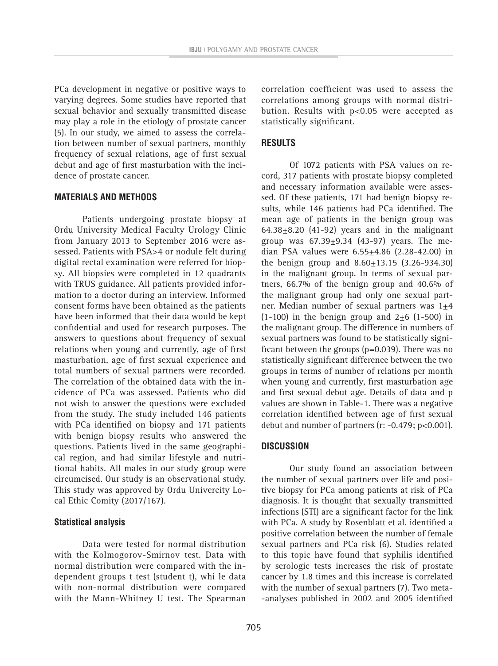PCa development in negative or positive ways to varying degrees. Some studies have reported that sexual behavior and sexually transmitted disease may play a role in the etiology of prostate cancer (5). In our study, we aimed to assess the correlation between number of sexual partners, monthly frequency of sexual relations, age of first sexual debut and age of first masturbation with the incidence of prostate cancer.

#### **MATERIALS AND METHODS**

Patients undergoing prostate biopsy at Ordu University Medical Faculty Urology Clinic from January 2013 to September 2016 were assessed. Patients with PSA>4 or nodule felt during digital rectal examination were referred for biopsy. All biopsies were completed in 12 quadrants with TRUS guidance. All patients provided information to a doctor during an interview. Informed consent forms have been obtained as the patients have been informed that their data would be kept confidential and used for research purposes. The answers to questions about frequency of sexual relations when young and currently, age of first masturbation, age of first sexual experience and total numbers of sexual partners were recorded. The correlation of the obtained data with the incidence of PCa was assessed. Patients who did not wish to answer the questions were excluded from the study. The study included 146 patients with PCa identified on biopsy and 171 patients with benign biopsy results who answered the questions. Patients lived in the same geographical region, and had similar lifestyle and nutritional habits. All males in our study group were circumcised. Our study is an observational study. This study was approved by Ordu Univercity Local Ethic Comity (2017/167).

### **Statistical analysis**

Data were tested for normal distribution with the Kolmogorov-Smirnov test. Data with normal distribution were compared with the independent groups t test (student t), whi le data with non-normal distribution were compared with the Mann-Whitney U test. The Spearman correlation coefficient was used to assess the correlations among groups with normal distribution. Results with p<0.05 were accepted as statistically significant.

#### **RESULTS**

Of 1072 patients with PSA values on record, 317 patients with prostate biopsy completed and necessary information available were assessed. Of these patients, 171 had benign biopsy results, while 146 patients had PCa identified. The mean age of patients in the benign group was  $64.38\pm8.20$  (41-92) years and in the malignant group was  $67.39 \pm 9.34$  (43-97) years. The median PSA values were  $6.55 \pm 4.86$  (2.28-42.00) in the benign group and  $8.60 \pm 13.15$  (3.26-934.30) in the malignant group. In terms of sexual partners, 66.7% of the benign group and 40.6% of the malignant group had only one sexual partner. Median number of sexual partners was 1±4  $(1-100)$  in the benign group and  $2\pm 6$  (1-500) in the malignant group. The difference in numbers of sexual partners was found to be statistically significant between the groups (p=0.039). There was no statistically significant difference between the two groups in terms of number of relations per month when young and currently, first masturbation age and first sexual debut age. Details of data and p values are shown in Table-1. There was a negative correlation identified between age of first sexual debut and number of partners (r: -0.479; p<0.001).

### **DISCUSSION**

Our study found an association between the number of sexual partners over life and positive biopsy for PCa among patients at risk of PCa diagnosis. It is thought that sexually transmitted infections (STI) are a significant factor for the link with PCa. A study by Rosenblatt et al. identified a positive correlation between the number of female sexual partners and PCa risk (6). Studies related to this topic have found that syphilis identified by serologic tests increases the risk of prostate cancer by 1.8 times and this increase is correlated with the number of sexual partners (7). Two meta- -analyses published in 2002 and 2005 identified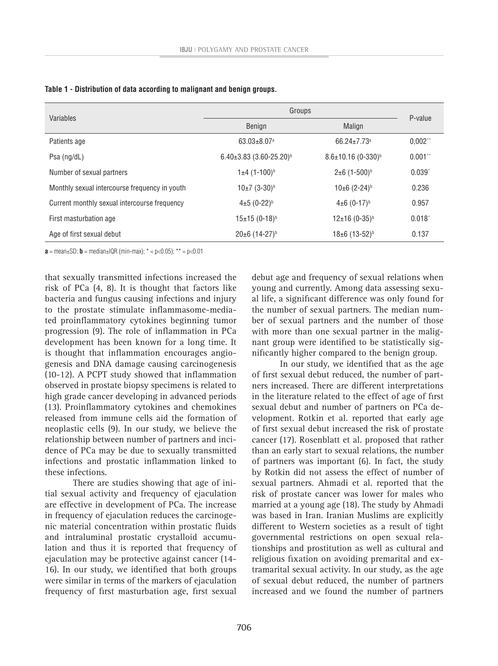| Variables                                     | Groups                                  |                                      |                       |
|-----------------------------------------------|-----------------------------------------|--------------------------------------|-----------------------|
|                                               | Benign                                  | Malign                               | P-value               |
| Patients age                                  | $63.03 \pm 8.07$ <sup>a</sup>           | $66.24 \pm 7.73$ <sup>a</sup>        | $0,002$ <sup>**</sup> |
| Psa (ng/dL)                                   | $6.40\pm3.83$ (3.60-25.20) <sup>b</sup> | $8.6 \pm 10.16$ (0-330) <sup>b</sup> | $0.001$ **            |
| Number of sexual partners                     | $1\pm4(1-100)^{b}$                      | $2\pm 6$ (1-500) <sup>b</sup>        | $0.039^{*}$           |
| Monthly sexual intercourse frequency in youth | $10\pm7(3-30)$ <sup>b</sup>             | $10\pm 6$ (2-24) <sup>b</sup>        | 0.236                 |
| Current monthly sexual intercourse frequency  | $4\pm 5$ (0-22) <sup>b</sup>            | $4\pm 6$ (0-17) <sup>b</sup>         | 0.957                 |
| First masturbation age                        | $15±15(0-18)b$                          | $12{\pm}16(0-35)^{b}$                | $0.018^{*}$           |
| Age of first sexual debut                     | $20\pm 6$ (14-27) <sup>b</sup>          | $18\pm 6$ (13-52) <sup>b</sup>       | 0.137                 |

**Table 1 - Distribution of data according to malignant and benign groups.**

**a** = mean $\pm$ SD; **b** = median $\pm$ IQR (min-max);  $*$  = p<0.05);  $*$   $*$  = p<0.01

that sexually transmitted infections increased the risk of PCa (4, 8). It is thought that factors like bacteria and fungus causing infections and injury to the prostate stimulate inflammasome-mediated proinflammatory cytokines beginning tumor progression (9). The role of inflammation in PCa development has been known for a long time. It is thought that inflammation encourages angiogenesis and DNA damage causing carcinogenesis (10-12). A PCPT study showed that inflammation observed in prostate biopsy specimens is related to high grade cancer developing in advanced periods (13). Proinflammatory cytokines and chemokines released from immune cells aid the formation of neoplastic cells (9). In our study, we believe the relationship between number of partners and incidence of PCa may be due to sexually transmitted infections and prostatic inflammation linked to these infections.

There are studies showing that age of initial sexual activity and frequency of ejaculation are effective in development of PCa. The increase in frequency of ejaculation reduces the carcinogenic material concentration within prostatic fluids and intraluminal prostatic crystalloid accumulation and thus it is reported that frequency of ejaculation may be protective against cancer (14- 16). In our study, we identified that both groups were similar in terms of the markers of ejaculation frequency of first masturbation age, first sexual

debut age and frequency of sexual relations when young and currently. Among data assessing sexual life, a significant difference was only found for the number of sexual partners. The median number of sexual partners and the number of those with more than one sexual partner in the malignant group were identified to be statistically significantly higher compared to the benign group.

In our study, we identified that as the age of first sexual debut reduced, the number of partners increased. There are different interpretations in the literature related to the effect of age of first sexual debut and number of partners on PCa development. Rotkin et al. reported that early age of first sexual debut increased the risk of prostate cancer (17). Rosenblatt et al. proposed that rather than an early start to sexual relations, the number of partners was important (6). In fact, the study by Rotkin did not assess the effect of number of sexual partners. Ahmadi et al. reported that the risk of prostate cancer was lower for males who married at a young age (18). The study by Ahmadi was based in Iran. Iranian Muslims are explicitly different to Western societies as a result of tight governmental restrictions on open sexual relationships and prostitution as well as cultural and religious fixation on avoiding premarital and extramarital sexual activity. In our study, as the age of sexual debut reduced, the number of partners increased and we found the number of partners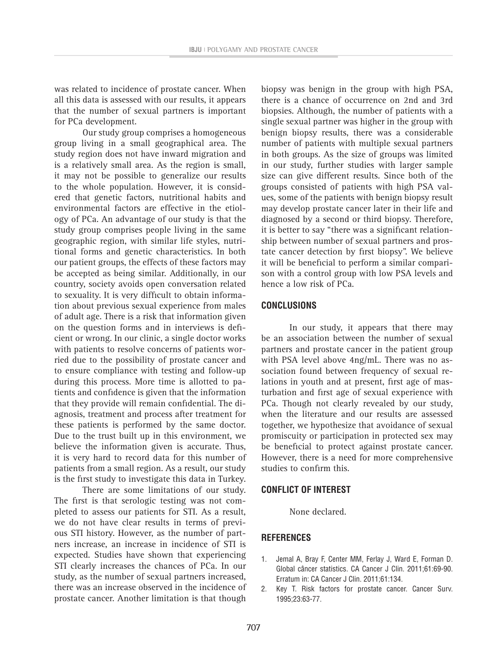was related to incidence of prostate cancer. When all this data is assessed with our results, it appears that the number of sexual partners is important for PCa development.

Our study group comprises a homogeneous group living in a small geographical area. The study region does not have inward migration and is a relatively small area. As the region is small, it may not be possible to generalize our results to the whole population. However, it is considered that genetic factors, nutritional habits and environmental factors are effective in the etiology of PCa. An advantage of our study is that the study group comprises people living in the same geographic region, with similar life styles, nutritional forms and genetic characteristics. In both our patient groups, the effects of these factors may be accepted as being similar. Additionally, in our country, society avoids open conversation related to sexuality. It is very difficult to obtain information about previous sexual experience from males of adult age. There is a risk that information given on the question forms and in interviews is deficient or wrong. In our clinic, a single doctor works with patients to resolve concerns of patients worried due to the possibility of prostate cancer and to ensure compliance with testing and follow-up during this process. More time is allotted to patients and confidence is given that the information that they provide will remain confidential. The diagnosis, treatment and process after treatment for these patients is performed by the same doctor. Due to the trust built up in this environment, we believe the information given is accurate. Thus, it is very hard to record data for this number of patients from a small region. As a result, our study is the first study to investigate this data in Turkey.

There are some limitations of our study. The first is that serologic testing was not completed to assess our patients for STI. As a result, we do not have clear results in terms of previous STI history. However, as the number of partners increase, an increase in incidence of STI is expected. Studies have shown that experiencing STI clearly increases the chances of PCa. In our study, as the number of sexual partners increased, there was an increase observed in the incidence of prostate cancer. Another limitation is that though biopsy was benign in the group with high PSA, there is a chance of occurrence on 2nd and 3rd biopsies. Although, the number of patients with a single sexual partner was higher in the group with benign biopsy results, there was a considerable number of patients with multiple sexual partners in both groups. As the size of groups was limited in our study, further studies with larger sample size can give different results. Since both of the groups consisted of patients with high PSA values, some of the patients with benign biopsy result may develop prostate cancer later in their life and diagnosed by a second or third biopsy. Therefore, it is better to say "there was a significant relationship between number of sexual partners and prostate cancer detection by first biopsy". We believe it will be beneficial to perform a similar comparison with a control group with low PSA levels and hence a low risk of PCa.

#### **CONCLUSIONS**

In our study, it appears that there may be an association between the number of sexual partners and prostate cancer in the patient group with PSA level above 4ng/mL. There was no association found between frequency of sexual relations in youth and at present, first age of masturbation and first age of sexual experience with PCa. Though not clearly revealed by our study, when the literature and our results are assessed together, we hypothesize that avoidance of sexual promiscuity or participation in protected sex may be beneficial to protect against prostate cancer. However, there is a need for more comprehensive studies to confirm this.

#### **CONFLICT OF INTEREST**

None declared.

#### **REFERENCES**

- 1. Jemal A, Bray F, Center MM, Ferlay J, Ward E, Forman D. Global câncer statistics. CA Cancer J Clin. 2011;61:69-90. Erratum in: CA Cancer J Clin. 2011;61:134.
- 2. Key T. Risk factors for prostate cancer. Cancer Surv. 1995;23:63-77.